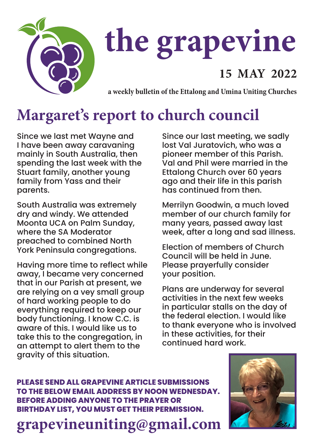

# **the grapevine**

#### **15 MAY 2022**

**a weekly bulletin of the Ettalong and Umina Uniting Churches**

## **Margaret's report to church council**

Since we last met Wayne and I have been away caravaning mainly in South Australia, then spending the last week with the Stuart family, another young family from Yass and their parents.

South Australia was extremely dry and windy. We attended Moonta UCA on Palm Sunday, where the SA Moderator preached to combined North York Peninsula congregations.

Having more time to reflect while away, I became very concerned that in our Parish at present, we are relying on a vey small group of hard working people to do everything required to keep our body functioning. I know C.C. is aware of this. I would like us to take this to the congregation, in an attempt to alert them to the gravity of this situation.

Since our last meeting, we sadly lost Val Juratovich, who was a pioneer member of this Parish. Val and Phil were married in the Ettalong Church over 60 years ago and their life in this parish has continued from then.

Merrilyn Goodwin, a much loved member of our church family for many years, passed away last week, after a long and sad illness.

Election of members of Church Council will be held in June. Please prayerfully consider your position.

Plans are underway for several activities in the next few weeks in particular stalls on the day of the federal election. I would like to thank everyone who is involved in these activities, for their continued hard work.

**PLEASE SEND ALL GRAPEVINE ARTICLE SUBMISSIONS TO THE BELOW EMAIL ADDRESS BY NOON WEDNESDAY. BEFORE ADDING ANYONE TO THE PRAYER OR BIRTHDAY LIST, YOU MUST GET THEIR PERMISSION.**

**grapevineuniting@gmail.com**

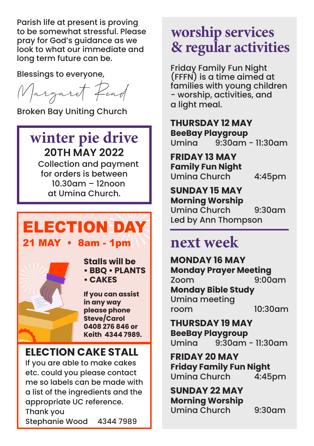Parish life at present is proving to be somewhat stressful. Please pray for God's guidance as we look to what our immediate and long term future can be.

Blessings to everyone,

Margaret Read

Broken Bay Uniting Church

#### **winter pie drive 20TH MAY 2022**

 Collection and payment for orders is between 10.30am – 12noon at Umina Church.

### ELECTION DAY 21 MAY • 8am - 1pm



**Stalls will be • BBQ • PLANTS • CAKES**

**If you can assist in any way please phone Steve/Carol 0408 276 846 or Keith 4344 7989.**

#### **ELECTION CAKE STALL**

If you are able to make cakes etc. could you please contact me so labels can be made with a list of the ingredients and the appropriate UC reference. Thank you Stephanie Wood 4344 7989

#### **worship services & regular activities**

Friday Family Fun Night (FFFN) is a time aimed at families with young children - worship, activities, and a light meal.

**THURSDAY 12 MAY BeeBay Playgroup**  $9:30$ am - 11:30am

**FRIDAY 13 MAY Family Fun Night** Umina Church 4:45pm

#### **SUNDAY 15 MAY**

**Morning Worship** Umina Church 9:30am Led by Ann Thompson

#### **next week**

**MONDAY 16 MAY Monday Prayer Meeting** Zoom 9:00am **Monday Bible Study** Umina meeting room 10:30am

**THURSDAY 19 MAY BeeBay Playgroup** Umina 9:30am - 11:30am

**FRIDAY 20 MAY Friday Family Fun Night** Umina Church

**SUNDAY 22 MAY Morning Worship** Umina Church 9:30am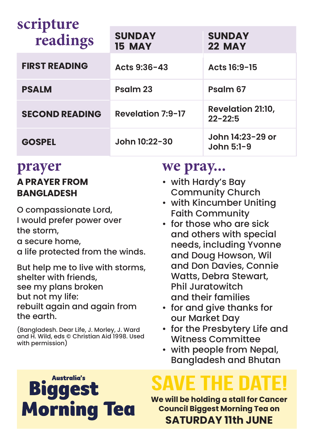| scripture<br>readings | <b>SUNDAY</b><br>15 MAY  | <b>SUNDAY</b><br><b>22 MAY</b>          |
|-----------------------|--------------------------|-----------------------------------------|
| <b>FIRST READING</b>  | Acts 9:36-43             | Acts 16:9-15                            |
| <b>PSALM</b>          | Psalm 23                 | Psalm 67                                |
| <b>SECOND READING</b> | <b>Revelation 7:9-17</b> | <b>Revelation 21:10,</b><br>$22 - 22:5$ |
| <b>GOSPEL</b>         | John 10:22-30            | John 14:23-29 or<br>John 5:1-9          |

#### **prayer A PRAYER FROM BANGLADESH**

O compassionate Lord, I would prefer power over the storm, a secure home, a life protected from the winds.

But help me to live with storms, shelter with friends, see my plans broken but not my life: rebuilt again and again from the earth.

(Bangladesh. Dear Life, J. Morley, J. Ward and H. Wild, eds © Christian Aid 1998. Used with permission)

> Australia's  $\blacksquare$

**Morning Tea** 

#### **we pray...**

- with Hardy's Bay Community Church
- with Kincumber Uniting Faith Community
- for those who are sick and others with special needs, including Yvonne and Doug Howson, Wil and Don Davies, Connie Watts, Debra Stewart, Phil Juratowitch and their families
- for and give thanks for our Market Day
- for the Presbytery Life and Witness Committee
- with people from Nepal, Bangladesh and Bhutan

**We will be holding a stall for Cancer Council Biggest Morning Tea on SATURDAY 11th JUNE**